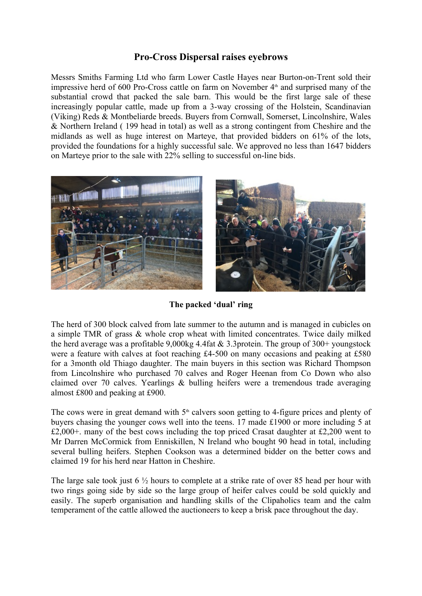## **Pro-Cross Dispersal raises eyebrows**

Messrs Smiths Farming Ltd who farm Lower Castle Hayes near Burton-on-Trent sold their impressive herd of 600 Pro-Cross cattle on farm on November  $4<sup>th</sup>$  and surprised many of the substantial crowd that packed the sale barn. This would be the first large sale of these increasingly popular cattle, made up from a 3-way crossing of the Holstein, Scandinavian (Viking) Reds & Montbeliarde breeds. Buyers from Cornwall, Somerset, Lincolnshire, Wales & Northern Ireland ( 199 head in total) as well as a strong contingent from Cheshire and the midlands as well as huge interest on Marteye, that provided bidders on 61% of the lots, provided the foundations for a highly successful sale. We approved no less than 1647 bidders on Marteye prior to the sale with 22% selling to successful on-line bids.



**The packed 'dual' ring**

The herd of 300 block calved from late summer to the autumn and is managed in cubicles on a simple TMR of grass & whole crop wheat with limited concentrates. Twice daily milked the herd average was a profitable 9,000kg 4.4fat & 3.3protein. The group of 300+ youngstock were a feature with calves at foot reaching £4-500 on many occasions and peaking at £580 for a 3month old Thiago daughter. The main buyers in this section was Richard Thompson from Lincolnshire who purchased 70 calves and Roger Heenan from Co Down who also claimed over 70 calves. Yearlings & bulling heifers were a tremendous trade averaging almost £800 and peaking at £900.

The cows were in great demand with  $5<sup>th</sup>$  calvers soon getting to 4-figure prices and plenty of buyers chasing the younger cows well into the teens. 17 made £1900 or more including 5 at £2,000+. many of the best cows including the top priced Crasat daughter at £2,200 went to Mr Darren McCormick from Enniskillen, N Ireland who bought 90 head in total, including several bulling heifers. Stephen Cookson was a determined bidder on the better cows and claimed 19 for his herd near Hatton in Cheshire.

The large sale took just 6 ½ hours to complete at a strike rate of over 85 head per hour with two rings going side by side so the large group of heifer calves could be sold quickly and easily. The superb organisation and handling skills of the Clipaholics team and the calm temperament of the cattle allowed the auctioneers to keep a brisk pace throughout the day.